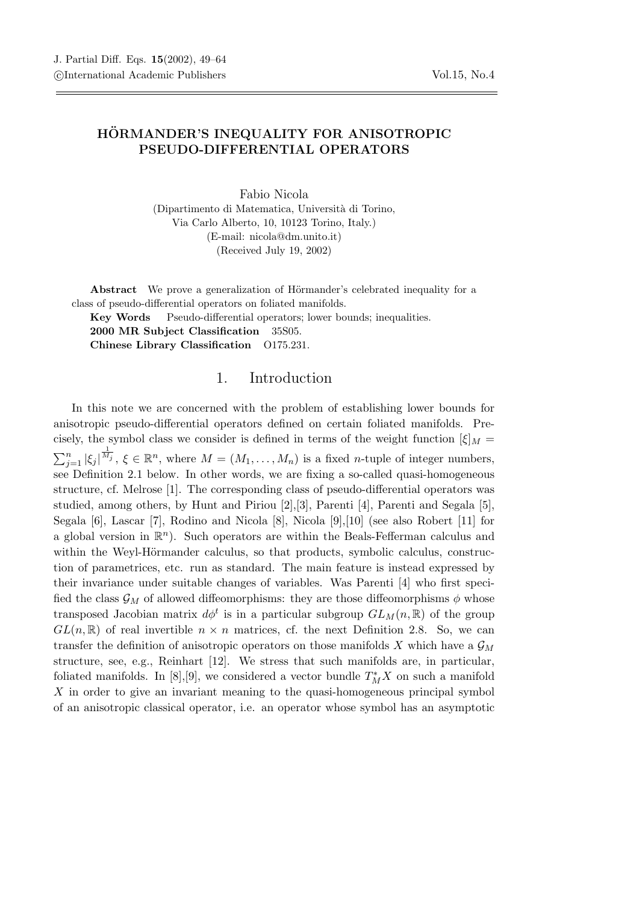## HÖRMANDER'S INEQUALITY FOR ANISOTROPIC PSEUDO-DIFFERENTIAL OPERATORS

Fabio Nicola (Dipartimento di Matematica, Universit`a di Torino, Via Carlo Alberto, 10, 10123 Torino, Italy.) (E-mail: nicola@dm.unito.it) (Received July 19, 2002)

Abstract We prove a generalization of Hörmander's celebrated inequality for a class of pseudo-differential operators on foliated manifolds.

Key Words Pseudo-differential operators; lower bounds; inequalities. 2000 MR Subject Classification 35S05. Chinese Library Classification O175.231.

## 1. Introduction

In this note we are concerned with the problem of establishing lower bounds for anisotropic pseudo-differential operators defined on certain foliated manifolds. Precisely, the symbol class we consider is defined in terms of the weight function  $[\xi]_M =$  $\sum_{j=1}^n |\xi_j|^{\frac{1}{M_j}}$ ,  $\xi \in \mathbb{R}^n$ , where  $M = (M_1, \ldots, M_n)$  is a fixed *n*-tuple of integer numbers, see Definition 2.1 below. In other words, we are fixing a so-called quasi-homogeneous structure, cf. Melrose [1]. The corresponding class of pseudo-differential operators was studied, among others, by Hunt and Piriou [2],[3], Parenti [4], Parenti and Segala [5], Segala [6], Lascar [7], Rodino and Nicola [8], Nicola [9],[10] (see also Robert [11] for a global version in  $\mathbb{R}^n$ ). Such operators are within the Beals-Fefferman calculus and within the Weyl-Hörmander calculus, so that products, symbolic calculus, construction of parametrices, etc. run as standard. The main feature is instead expressed by their invariance under suitable changes of variables. Was Parenti [4] who first specified the class  $\mathcal{G}_M$  of allowed diffeomorphisms: they are those diffeomorphisms  $\phi$  whose transposed Jacobian matrix  $d\phi^t$  is in a particular subgroup  $GL_M(n, \mathbb{R})$  of the group  $GL(n,\mathbb{R})$  of real invertible  $n \times n$  matrices, cf. the next Definition 2.8. So, we can transfer the definition of anisotropic operators on those manifolds X which have a  $\mathcal{G}_M$ structure, see, e.g., Reinhart [12]. We stress that such manifolds are, in particular, foliated manifolds. In [8],[9], we considered a vector bundle  $T_M^*X$  on such a manifold X in order to give an invariant meaning to the quasi-homogeneous principal symbol of an anisotropic classical operator, i.e. an operator whose symbol has an asymptotic